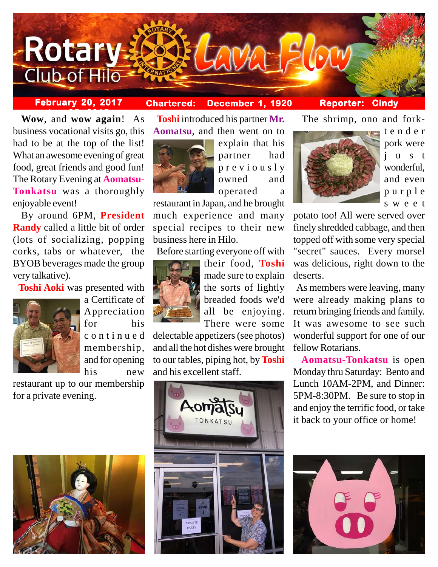

# **February 20, 2017 Chartered: December 1, 1920**

## **Reporter: Cindy**

**between** Wow, and wow again! As business vocational visits go, this had to be at the top of the list! What an awesome evening of great food, great friends and good fun! The Rotary Evening at **Aomatsu-Tonkatsu** was a thoroughly enjoyable event!

 By around 6PM, **President Randy** called a little bit of order (lots of socializing, popping corks, tabs or whatever, the BYOB beverages made the group very talkative).

 **Toshi Aoki** was presented with



a Certificate of Appreciation for his continued membership, and for opening his new

restaurant up to our membership for a private evening.





explain that his partner had previously owned and operated a

restaurant in Japan, and he brought much experience and many special recipes to their new business here in Hilo.

Before starting everyone off with



their food, **Toshi** made sure to explain the sorts of lightly breaded foods we'd all be enjoying. There were some

delectable appetizers (see photos) and all the hot dishes were brought to our tables, piping hot, by **Toshi** and his excellent staff.



The shrimp, ono and fork-



tender pork were just wonderful, and even purple sweet

potato too! All were served over finely shredded cabbage, and then topped off with some very special "secret" sauces. Every morsel was delicious, right down to the deserts.

 As members were leaving, many were already making plans to return bringing friends and family. It was awesome to see such wonderful support for one of our fellow Rotarians.

 **Aomatsu-Tonkatsu** is open Monday thru Saturday: Bento and Lunch 10AM-2PM, and Dinner: 5PM-8:30PM. Be sure to stop in and enjoy the terrific food, or take it back to your office or home!